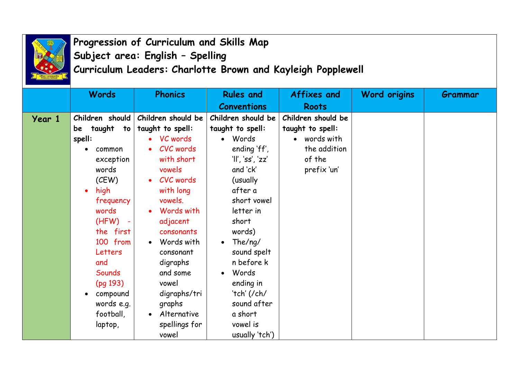

## **Progression of Curriculum and Skills Map Subject area: English – Spelling Curriculum Leaders: Charlotte Brown and Kayleigh Popplewell**

|        | <b>Words</b>        | <b>Phonics</b>     | <b>Rules and</b>     | Affixes and        | <b>Word origins</b> | Grammar |
|--------|---------------------|--------------------|----------------------|--------------------|---------------------|---------|
|        |                     |                    | <b>Conventions</b>   | <b>Roots</b>       |                     |         |
| Year 1 | Children should     | Children should be | Children should be   | Children should be |                     |         |
|        | taught to<br>be     | taught to spell:   | taught to spell:     | taught to spell:   |                     |         |
|        | spell:              | VC words           | Words                | words with         |                     |         |
|        | common<br>$\bullet$ | CVC words          | ending 'ff',         | the addition       |                     |         |
|        | exception           | with short         | 'll', 'ss', 'zz'     | of the             |                     |         |
|        | words               | vowels             | and 'ck'             | prefix 'un'        |                     |         |
|        | (CEW)               | CVC words          | (usually             |                    |                     |         |
|        | high<br>$\bullet$   | with long          | after a              |                    |                     |         |
|        | frequency           | vowels.            | short vowel          |                    |                     |         |
|        | words               | Words with         | letter in            |                    |                     |         |
|        | (HFW)<br>÷          | adjacent           | short                |                    |                     |         |
|        | the first           | consonants         | words)               |                    |                     |         |
|        | 100 from            | Words with         | The/ng/<br>$\bullet$ |                    |                     |         |
|        | Letters             | consonant          | sound spelt          |                    |                     |         |
|        | and                 | digraphs           | n before k           |                    |                     |         |
|        | Sounds              | and some           | Words                |                    |                     |         |
|        | (pq 193)            | vowel              | ending in            |                    |                     |         |
|        | compound            | digraphs/tri       | 'tch' (/ch/          |                    |                     |         |
|        | words e.g.          | graphs             | sound after          |                    |                     |         |
|        | football,           | Alternative        | a short              |                    |                     |         |
|        | laptop,             | spellings for      | vowel is             |                    |                     |         |
|        |                     | vowel              | usually 'tch')       |                    |                     |         |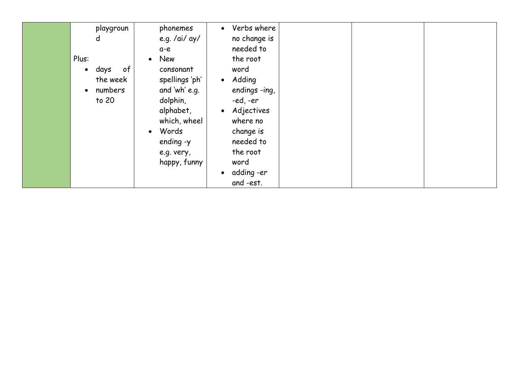| playgroun<br>d<br>Plus:                                        | phonemes<br>e.g. /ai/ ay/<br>a-e<br>New<br>$\bullet$                                                                                      | Verbs where<br>$\bullet$<br>no change is<br>needed to<br>the root                                                                                               |  |  |
|----------------------------------------------------------------|-------------------------------------------------------------------------------------------------------------------------------------------|-----------------------------------------------------------------------------------------------------------------------------------------------------------------|--|--|
| $\circ$ f<br>days<br>$\bullet$<br>the week<br>numbers<br>to 20 | consonant<br>spellings 'ph'<br>and 'wh' e.g.<br>dolphin,<br>alphabet,<br>which, wheel<br>Words<br>ending -y<br>e.g. very,<br>happy, funny | word<br>• Adding<br>endings -ing,<br>-ed, -er<br>• Adjectives<br>where no<br>change is<br>needed to<br>the root<br>word<br>adding -er<br>$\bullet$<br>and -est. |  |  |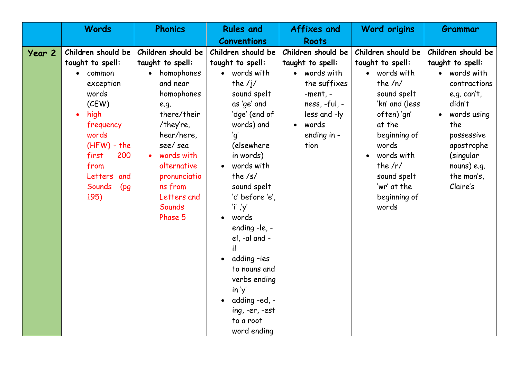|                   | <b>Words</b>           | <b>Phonics</b>          | <b>Rules and</b>           | <b>Affixes and</b> | <b>Word origins</b>        | Grammar                |
|-------------------|------------------------|-------------------------|----------------------------|--------------------|----------------------------|------------------------|
|                   |                        |                         | <b>Conventions</b>         | <b>Roots</b>       |                            |                        |
| Year <sub>2</sub> | Children should be     | Children should be      | Children should be         | Children should be | Children should be         | Children should be     |
|                   | taught to spell:       | taught to spell:        | taught to spell:           | taught to spell:   | taught to spell:           | taught to spell:       |
|                   | common                 | homophones              | words with                 | words with         | words with                 | words with             |
|                   | exception              | and near                | the $/j/$                  | the suffixes       | the $/n/$                  | contractions           |
|                   | words                  | homophones              | sound spelt                | $-$ ment, $-$      | sound spelt                | e.g. $can't$ ,         |
|                   | (CEW)                  | e.g.                    | as 'ge' and                | $ness, -ful, -$    | 'kn' and (less             | didn't                 |
|                   | high<br>$\bullet$      | there/their             | 'dge' (end of              | less and -ly       | often) 'gn'                | words using            |
|                   | frequency              | /they're,               | words) and                 | words<br>$\bullet$ | at the                     | the                    |
|                   | words                  | hear/here,              | 'q'                        | ending in -        | beginning of               | possessive             |
|                   | $(HFW)$ - the          | see/sea                 | (elsewhere                 | tion               | words                      | apostrophe             |
|                   | first<br>200           | words with              | in words)                  |                    | words with                 | (singular              |
|                   | from<br>Letters<br>and | alternative             | words with<br>the $/s/$    |                    | the $/r/$                  | nouns) e.g.            |
|                   | Sounds                 | pronunciatio<br>ns from | sound spelt                |                    | sound spelt<br>'wr' at the | the man's,<br>Claire's |
|                   | (pg)<br>195)           | Letters and             | 'c' before 'e',            |                    | beginning of               |                        |
|                   |                        | Sounds                  | 'i' ,'y'                   |                    | words                      |                        |
|                   |                        | Phase 5                 | words<br>$\bullet$         |                    |                            |                        |
|                   |                        |                         | ending -le, -              |                    |                            |                        |
|                   |                        |                         | el, -al and -              |                    |                            |                        |
|                   |                        |                         | il                         |                    |                            |                        |
|                   |                        |                         | adding-ies<br>$\bullet$    |                    |                            |                        |
|                   |                        |                         | to nouns and               |                    |                            |                        |
|                   |                        |                         | verbs ending               |                    |                            |                        |
|                   |                        |                         | in 'y'                     |                    |                            |                        |
|                   |                        |                         | adding -ed, -<br>$\bullet$ |                    |                            |                        |
|                   |                        |                         | ing, -er, -est             |                    |                            |                        |
|                   |                        |                         | to a root                  |                    |                            |                        |
|                   |                        |                         | word ending                |                    |                            |                        |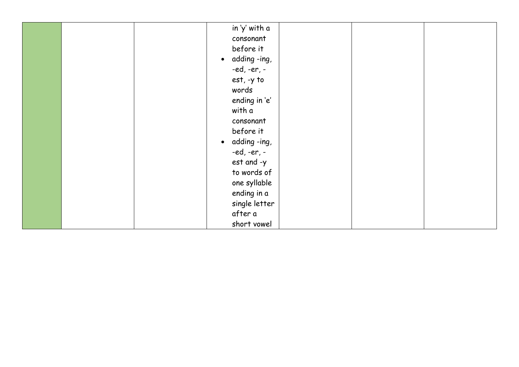|  | in 'y' with a             |  |  |
|--|---------------------------|--|--|
|  | consonant                 |  |  |
|  | before it                 |  |  |
|  | adding -ing,<br>$\bullet$ |  |  |
|  | -ed, -er, -               |  |  |
|  | est, -y to                |  |  |
|  | words                     |  |  |
|  | ending in 'e'             |  |  |
|  | with a                    |  |  |
|  | consonant                 |  |  |
|  | before it                 |  |  |
|  | adding -ing,<br>$\bullet$ |  |  |
|  | -ed, -er, -               |  |  |
|  | est and -y                |  |  |
|  | to words of               |  |  |
|  | one syllable              |  |  |
|  | ending in a               |  |  |
|  | single letter             |  |  |
|  | after a                   |  |  |
|  | short vowel               |  |  |
|  |                           |  |  |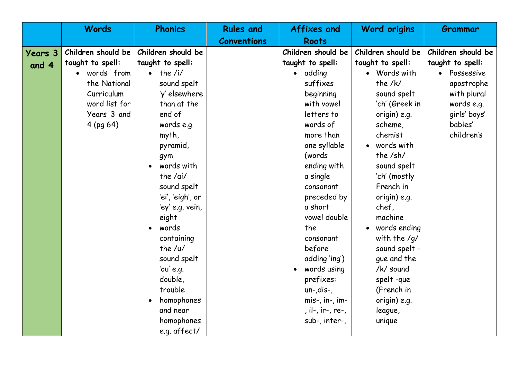|                | <b>Words</b>       | <b>Phonics</b>         | <b>Rules and</b>   | <b>Affixes and</b>  | <b>Word origins</b>     | Grammar            |
|----------------|--------------------|------------------------|--------------------|---------------------|-------------------------|--------------------|
|                |                    |                        | <b>Conventions</b> | <b>Roots</b>        |                         |                    |
| <b>Years 3</b> | Children should be | Children should be     |                    | Children should be  | Children should be      | Children should be |
| and 4          | taught to spell:   | taught to spell:       |                    | taught to spell:    | taught to spell:        | taught to spell:   |
|                | words from         | the $/i/$<br>$\bullet$ |                    | adding<br>$\bullet$ | • Words with            | Possessive         |
|                | the National       | sound spelt            |                    | suffixes            | the $/k/$               | apostrophe         |
|                | Curriculum         | 'y' elsewhere          |                    | beginning           | sound spelt             | with plural        |
|                | word list for      | than at the            |                    | with vowel          | 'ch' (Greek in          | words e.g.         |
|                | Years 3 and        | end of                 |                    | letters to          | origin) e.g.            | girls' boys'       |
|                | $4$ (pg 64)        | words e.g.             |                    | words of            | scheme,                 | babies'            |
|                |                    | myth,                  |                    | more than           | chemist                 | children's         |
|                |                    | pyramid,               |                    | one syllable        | words with<br>$\bullet$ |                    |
|                |                    | gym                    |                    | (words              | the /sh/                |                    |
|                |                    | words with             |                    | ending with         | sound spelt             |                    |
|                |                    | the $/ai/$             |                    | a single            | 'ch' (mostly            |                    |
|                |                    | sound spelt            |                    | consonant           | French in               |                    |
|                |                    | 'ei', 'eigh', or       |                    | preceded by         | origin) e.g.            |                    |
|                |                    | 'ey' e.g. vein,        |                    | a short             | chef,                   |                    |
|                |                    | eight                  |                    | vowel double        | machine                 |                    |
|                |                    | words                  |                    | the                 | words ending            |                    |
|                |                    | containing             |                    | consonant           | with the $/q/$          |                    |
|                |                    | the $/u/$              |                    | before              | sound spelt -           |                    |
|                |                    | sound spelt            |                    | adding 'ing')       | que and the             |                    |
|                |                    | 'ou' $e.q.$            |                    | words using         | /k/ sound               |                    |
|                |                    | double,                |                    | prefixes:           | spelt-que               |                    |
|                |                    | trouble                |                    | $un$ -,dis-,        | (French in              |                    |
|                |                    | homophones             |                    | mis-, in-, im-      | origin) e.g.            |                    |
|                |                    | and near               |                    | , il-, ir-, re-,    | league,                 |                    |
|                |                    | homophones             |                    | sub-, inter-,       | unique                  |                    |
|                |                    | e.g. affect/           |                    |                     |                         |                    |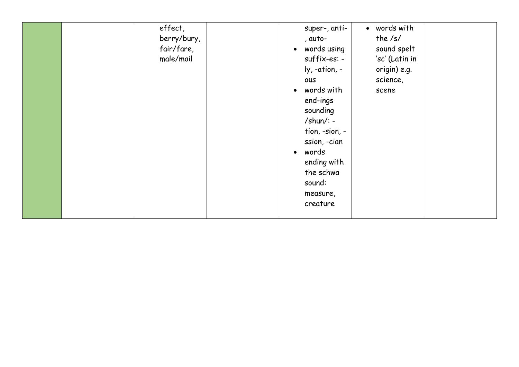|  | effect,<br>berry/bury,<br>fair/fare,<br>male/mail | super-, anti-<br>, auto-<br>words using<br>$\bullet$<br>suffix-es: -<br>ly, -ation, -<br>ous<br>words with<br>$\bullet$<br>end-ings<br>sounding<br>$/shun$ : -<br>tion, -sion, -<br>ssion, -cian<br>words<br>$\bullet$<br>ending with<br>the schwa<br>sound:<br>measure,<br>creature | • words with<br>the $/s/$<br>sound spelt<br>'sc' (Latin in<br>origin) e.g.<br>science,<br>scene |  |
|--|---------------------------------------------------|--------------------------------------------------------------------------------------------------------------------------------------------------------------------------------------------------------------------------------------------------------------------------------------|-------------------------------------------------------------------------------------------------|--|
|--|---------------------------------------------------|--------------------------------------------------------------------------------------------------------------------------------------------------------------------------------------------------------------------------------------------------------------------------------------|-------------------------------------------------------------------------------------------------|--|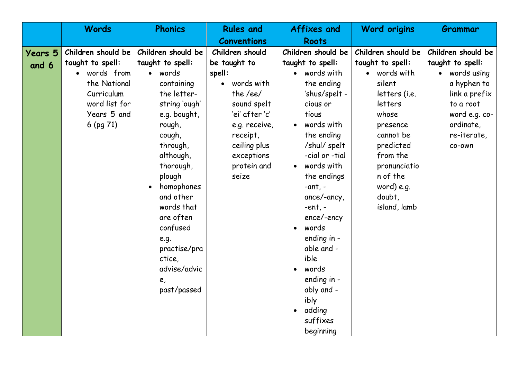|                | <b>Words</b>       | <b>Phonics</b>          | <b>Rules and</b>     | <b>Affixes and</b>           | <b>Word origins</b>      | Grammar            |
|----------------|--------------------|-------------------------|----------------------|------------------------------|--------------------------|--------------------|
|                |                    |                         | <b>Conventions</b>   | <b>Roots</b>                 |                          |                    |
| <b>Years 5</b> | Children should be | Children should be      | Children should      | Children should be           | Children should be       | Children should be |
| and 6          | taught to spell:   | taught to spell:        | be taught to         | taught to spell:             | taught to spell:         | taught to spell:   |
|                | words from         | words<br>$\bullet$      | spell:               | words with                   | words with               | words using        |
|                | the National       | containing              | words with           | the ending                   | silent                   | a hyphen to        |
|                | Curriculum         | the letter-             | the /ee/             | 'shus/spelt -                | letters (i.e.            | link a prefix      |
|                | word list for      | string 'ough'           | sound spelt          | cious or                     | letters                  | to a root          |
|                | Years 5 and        | e.g. bought,            | 'ei' after 'c'       | tious                        | whose                    | word e.g. co-      |
|                | 6 (pg 71)          | rough,                  | e.g. receive,        | words with                   | presence                 | ordinate,          |
|                |                    | cough,                  | receipt,             | the ending                   | cannot be                | re-iterate,        |
|                |                    | through,                | ceiling plus         | /shul/ spelt                 | predicted                | co-own             |
|                |                    | although,               | exceptions           | -cial or -tial<br>words with | from the                 |                    |
|                |                    | thorough,<br>plough     | protein and<br>seize | $\bullet$<br>the endings     | pronunciatio<br>n of the |                    |
|                |                    | homophones<br>$\bullet$ |                      | $-ant, -$                    | word) e.g.               |                    |
|                |                    | and other               |                      | ance/-ancy,                  | doubt,                   |                    |
|                |                    | words that              |                      | $-ent$ , $-$                 | island, lamb             |                    |
|                |                    | are often               |                      | ence/-ency                   |                          |                    |
|                |                    | confused                |                      | words                        |                          |                    |
|                |                    | e.g.                    |                      | ending in -                  |                          |                    |
|                |                    | practise/pra            |                      | able and -                   |                          |                    |
|                |                    | ctice,                  |                      | ible                         |                          |                    |
|                |                    | advise/advic            |                      | words                        |                          |                    |
|                |                    | e,                      |                      | ending in -                  |                          |                    |
|                |                    | past/passed             |                      | ably and -                   |                          |                    |
|                |                    |                         |                      | ibly                         |                          |                    |
|                |                    |                         |                      | adding                       |                          |                    |
|                |                    |                         |                      | suffixes                     |                          |                    |
|                |                    |                         |                      | beginning                    |                          |                    |